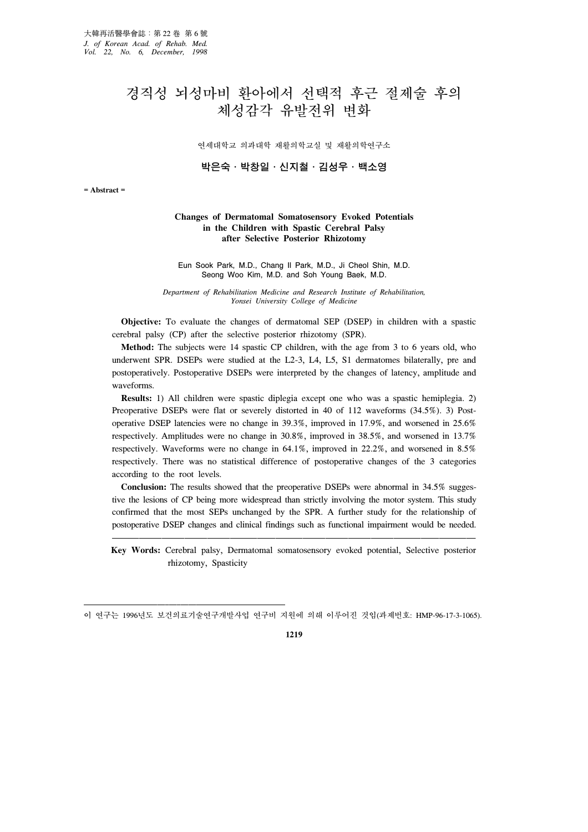# 경직성 뇌성마비 환아에서 선택적 후근 절제술 후의 체성감각 유발전위 변화

연세대학교 의과대학 재활의학교실 및 재활의학연구소

박은숙․박창일․신지철․김성우․백소영

**= Abstract =**

#### **Changes of Dermatomal Somatosensory Evoked Potentials in the Children with Spastic Cerebral Palsy after Selective Posterior Rhizotomy**

Eun Sook Park, M.D., Chang Il Park, M.D., Ji Cheol Shin, M.D. Seong Woo Kim, M.D. and Soh Young Baek, M.D.

*Department of Rehabilitation Medicine and Research Institute of Rehabilitation, Yonsei University College of Medicine*

 **Objective:** To evaluate the changes of dermatomal SEP (DSEP) in children with a spastic cerebral palsy (CP) after the selective posterior rhizotomy (SPR).

 **Method:** The subjects were 14 spastic CP children, with the age from 3 to 6 years old, who underwent SPR. DSEPs were studied at the L2-3, L4, L5, S1 dermatomes bilaterally, pre and postoperatively. Postoperative DSEPs were interpreted by the changes of latency, amplitude and waveforms.

 **Results:** 1) All children were spastic diplegia except one who was a spastic hemiplegia. 2) Preoperative DSEPs were flat or severely distorted in 40 of 112 waveforms (34.5%). 3) Postoperative DSEP latencies were no change in 39.3%, improved in 17.9%, and worsened in 25.6% respectively. Amplitudes were no change in 30.8%, improved in 38.5%, and worsened in 13.7% respectively. Waveforms were no change in 64.1%, improved in 22.2%, and worsened in 8.5% respectively. There was no statistical difference of postoperative changes of the 3 categories according to the root levels.

**Conclusion:** The results showed that the preoperative DSEPs were abnormal in 34.5% suggestive the lesions of CP being more widespread than strictly involving the motor system. This study confirmed that the most SEPs unchanged by the SPR. A further study for the relationship of postoperative DSEP changes and clinical findings such as functional impairment would be needed.

 **Key Words:** Cerebral palsy, Dermatomal somatosensory evoked potential, Selective posterior rhizotomy, Spasticity

**1219**

이 연구는 1996년도 보건의료기술연구개발사업 연구비 지원에 의해 이루어진 것임(과제번호: HMP-96-17-3-1065).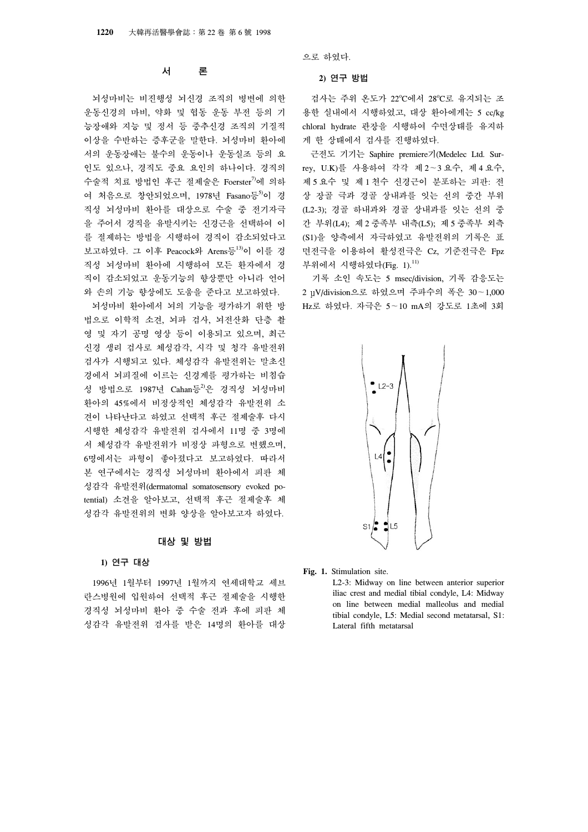# 서 론

 뇌성마비는 비진행성 뇌신경 조직의 병변에 의한 운동신경의 마비, 약화 및 협동 운동 부전 등의 기 능장애와 지능 및 정서 등 중추신경 조직의 기질적 이상을 수반하는 증후군을 말한다. 뇌성마비 환아에 서의 운동장애는 불수의 운동이나 운동실조 등의 요 인도 있으나, 경직도 중요 요인의 하나이다. 경직의 수술적 치료 방법인 후근 절제술은 Foerster<sup>7)</sup>에 의하 여 처음으로 창안되었으며, 1978년 Fasano등5)이 경 직성 뇌성마비 환아를 대상으로 수술 중 전기자극 을 주어서 경직을 유발시키는 신경근을 선택하여 이 를 절제하는 방법을 시행하여 경직이 감소되었다고 보고하였다. 그 이후 Peacock와 Arens등13)이 이를 경 직성 뇌성마비 환아에 시행하여 모든 환자에서 경 직이 감소되었고 운동기능의 향상뿐만 아니라 언어 와 손의 기능 향상에도 도움을 준다고 보고하였다.

 뇌성마비 환아에서 뇌의 기능을 평가하기 위한 방 법으로 이학적 소견, 뇌파 검사, 뇌전산화 단층 촬 영 및 자기 공명 영상 등이 이용되고 있으며, 최근 신경 생리 검사로 체성감각, 시각 및 청각 유발전위 검사가 시행되고 있다. 체성감각 유발전위는 말초신 경에서 뇌피질에 이르는 신경계를 평가하는 비침습 성 방법으로 1987년 Cahan등<sup>2)</sup>은 경직성 뇌성마비 환아의 45%에서 비정상적인 체성감각 유발전위 소 견이 나타난다고 하였고 선택적 후근 절제술후 다시 시행한 체성감각 유발전위 검사에서 11명 중 3명에 서 체성감각 유발전위가 비정상 파형으로 변했으며, 6명에서는 파형이 좋아졌다고 보고하였다. 따라서 본 연구에서는 경직성 뇌성마비 환아에서 피판 체 성감각 유발전위(dermatomal somatosensory evoked potential) 소견을 알아보고, 선택적 후근 절제술후 체 성감각 유발전위의 변화 양상을 알아보고자 하였다.

## 대상 및 방법

## **1)** 연구 대상

 1996년 1월부터 1997년 1월까지 연세대학교 세브 란스병원에 입원하여 선택적 후근 절제술을 시행한 경직성 뇌성마비 환아 중 수술 전과 후에 피판 체 성감각 유발전위 검사를 받은 14명의 환아를 대상 으로 하였다.

#### **2)** 연구 방법

검사는 주위 온도가 22°C에서 28°C로 유지되는 조 용한 실내에서 시행하였고, 대상 환아에게는 5 cc/kg chloral hydrate 관장을 시행하여 수면상태를 유지하 게 한 상태에서 검사를 진행하였다.

 근전도 기기는 Saphire premiere기(Medelec Ltd. Surrey, U.K)를 사용하여 각각 제 2∼3 요수, 제 4 요수, 제 5 요수 및 제 1 천수 신경근이 분포하는 피판: 전 상 장골 극과 경골 상내과를 잇는 선의 중간 부위 (L2-3); 경골 하내과와 경골 상내과를 잇는 선의 중 간 부위(L4); 제 2 중족부 내측(L5); 제 5 중족부 외측 (S1)을 양측에서 자극하였고 유발전위의 기록은 표 면전극을 이용하여 활성전극은 Cz, 기준전극은 Fpz 부위에서 시행하였다(Fig. 1). $^{11)}$ 

 기록 소인 속도는 5 msec/division, 기록 감응도는 2 V/division으로 하였으며 주파수의 폭은 30∼1,000 Hz로 하였다. 자극은 5∼10 mA의 강도로 1초에 3회



**Fig. 1.** Stimulation site.

L2-3: Midway on line between anterior superior iliac crest and medial tibial condyle, L4: Midway on line between medial malleolus and medial tibial condyle, L5: Medial second metatarsal, S1: Lateral fifth metatarsal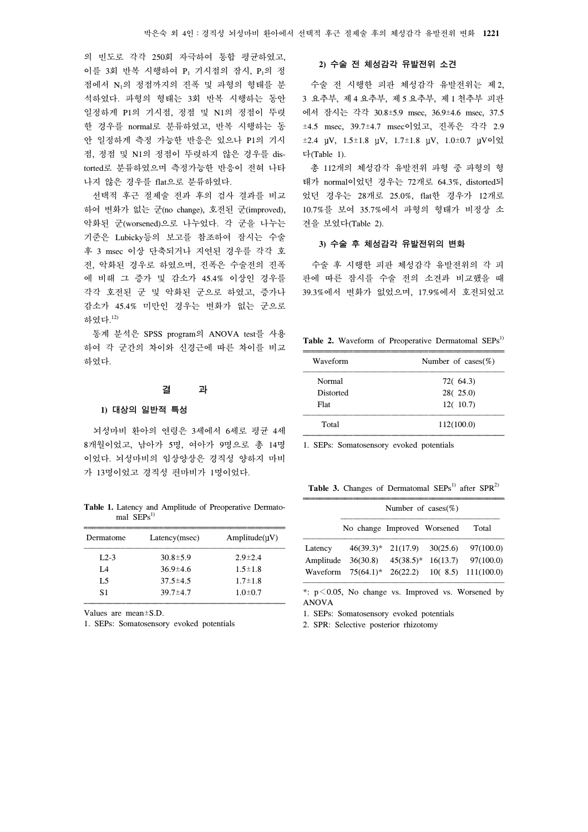의 빈도로 각각 250회 자극하여 통합 평균하였고, 이를 3회 반복 시행하여 P<sub>1</sub> 기시점의 잠시, P<sub>1</sub>의 정 점에서 N1의 정점까지의 진폭 및 파형의 형태를 분 석하였다. 파형의 형태는 3회 반복 시행하는 동안 일정하게 P1의 기시점, 정점 및 N1의 정점이 뚜렷 한 경우를 normal로 분류하였고, 반복 시행하는 동 안 일정하게 측정 가능한 반응은 있으나 P1의 기시 점, 정점 및 N1의 정점이 뚜렷하지 않은 경우를 distorted로 분류하였으며 측정가능한 반응이 전혀 나타 나지 않은 경우를 flat으로 분류하였다.

 선택적 후근 절제술 전과 후의 검사 결과를 비교 하여 변화가 없는 군(no change), 호전된 군(improved), 악화된 군(worsened)으로 나누었다. 각 군을 나누는 기준은 Lubicky등의 보고를 참조하여 잠시는 수술 후 3 msec 이상 단축되거나 지연된 경우를 각각 호 전, 악화된 경우로 하였으며, 진폭은 수술전의 진폭 에 비해 그 증가 및 감소가 45.4% 이상인 경우를 각각 호전된 군 및 악화된 군으로 하였고, 증가나 감소가 45.4% 미만인 경우는 변화가 없는 군으로 하였다. 12)

 통계 분석은 SPSS program의 ANOVA test를 사용 하여 각 군간의 차이와 신경근에 따른 차이를 비교 하였다.

#### 결 과

#### **1)** 대상의 일반적 특성

 뇌성마비 환아의 연령은 3세에서 6세로 평균 4세 8개월이었고, 남아가 5명, 여아가 9명으로 총 14명 이었다. 뇌성마비의 임상양상은 경직성 양하지 마비 가 13명이었고 경직성 편마비가 1명이었다.

**Table 1.** Latency and Amplitude of Preoperative Dermatomal  $SEPs^{1}$ 

| Latency(msec)  | Amplitude(UV) |
|----------------|---------------|
| $30.8 \pm 5.9$ | $2.9 \pm 2.4$ |
| $36.9 \pm 4.6$ | $1.5 \pm 1.8$ |
| $37.5 \pm 4.5$ | $1.7 \pm 1.8$ |
| $39.7 \pm 4.7$ | $1.0{\pm}0.7$ |
|                |               |

Values are mean±S.D.

1. SEPs: Somatosensory evoked potentials

#### **2)** 수술 전 체성감각 유발전위 소견

 수술 전 시행한 피판 체성감각 유발전위는 제 2, 3 요추부, 제 4 요추부, 제 5 요추부, 제 1 천추부 피판 에서 잠시는 각각 30.8±5.9 msec, 36.9±4.6 msec, 37.5 ±4.5 msec, 39.7±4.7 msec이었고, 진폭은 각각 2.9  $\pm 2.4$   $\mu$ V,  $1.5\pm 1.8$   $\mu$ V,  $1.7\pm 1.8$   $\mu$ V,  $1.0\pm 0.7$   $\mu$ Vo  $\%$ 다(Table 1).

 총 112개의 체성감각 유발전위 파형 중 파형의 형 태가 normal이었던 경우는 72개로 64.3%, distorted되 었던 경우는 28개로 25.0%, flat한 경우가 12개로 10.7%를 보여 35.7%에서 파형의 형태가 비정상 소 견을 보였다(Table 2).

# **3)** 수술 후 체성감각 유발전위의 변화

 수술 후 시행한 피판 체성감각 유발전위의 각 피 판에 따른 잠시를 수술 전의 소견과 비교했을 때 39.3%에서 변화가 없었으며, 17.9%에서 호전되었고

Table 2. Waveform of Preoperative Dermatomal SEPs<sup>1)</sup>

| Number of cases $(\%)$           |
|----------------------------------|
| 72(64.3)<br>28(25.0)<br>12(10.7) |
| 112(100.0)                       |
|                                  |

1. SEPs: Somatosensory evoked potentials

**Table 3.** Changes of Dermatomal  $SEPs<sup>1</sup>$  after  $SPR<sup>2</sup>$ 

|                                  | Number of cases $(\%)$                            |                          |                                 |                                      |
|----------------------------------|---------------------------------------------------|--------------------------|---------------------------------|--------------------------------------|
|                                  | No change Improved Worsened                       |                          |                                 | Total                                |
| Latency<br>Amplitude<br>Waveform | $46(39.3)^*$ 21(17.9)<br>36(30.8)<br>$75(64.1)^*$ | $45(38.5)^*$<br>26(22.2) | 30(25.6)<br>16(13.7)<br>10(8.5) | 97(100.0)<br>97(100.0)<br>111(100.0) |

\*: p<0.05, No change vs. Improved vs. Worsened by ANOVA

1. SEPs: Somatosensory evoked potentials

2. SPR: Selective posterior rhizotomy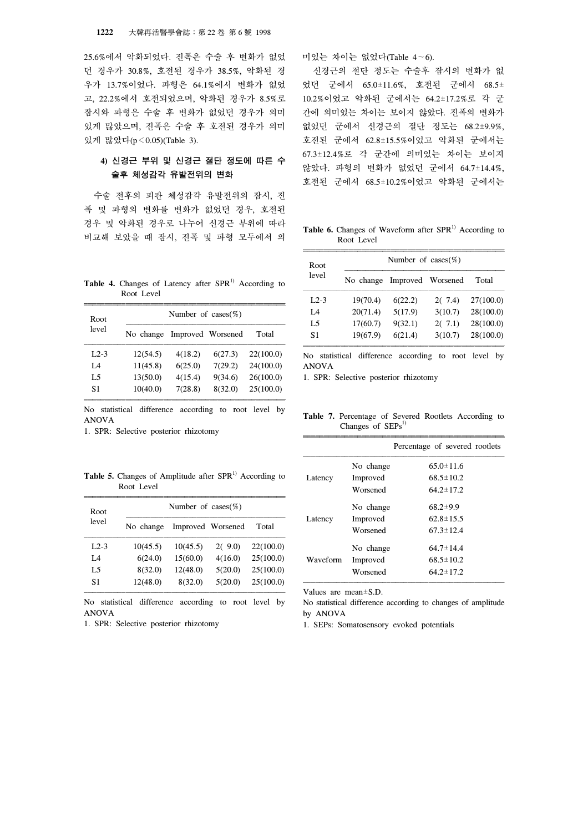25.6%에서 악화되었다. 진폭은 수술 후 변화가 없었 던 경우가 30.8%, 호전된 경우가 38.5%, 악화된 경 우가 13.7%이었다. 파형은 64.1%에서 변화가 없었 고, 22.2%에서 호전되었으며, 악화된 경우가 8.5%로 잠시와 파형은 수술 후 변화가 없었던 경우가 의미 있게 많았으며, 진폭은 수술 후 호전된 경우가 의미 있게 많았다(p<0.05)(Table 3).

# **4)** 신경근 부위 및 신경근 절단 정도에 따른 수 술후 체성감각 유발전위의 변화

 수술 전후의 피판 체성감각 유발전위의 잠시, 진 폭 및 파형의 변화를 변화가 없었던 경우, 호전된 경우 및 악화된 경우로 나누어 신경근 부위에 따라 비교해 보았을 때 잠시, 진폭 및 파형 모두에서 의

**Table 4.** Changes of Latency after  $SPR<sup>1</sup>$  According to Root Level

| Root           |           | Number of cases $(\%)$ |         |           |
|----------------|-----------|------------------------|---------|-----------|
| level          | No change | Improved Worsened      |         | Total     |
| $L2-3$         | 12(54.5)  | 4(18.2)                | 6(27.3) | 22(100.0) |
| L4             | 11(45.8)  | 6(25.0)                | 7(29.2) | 24(100.0) |
| L <sub>5</sub> | 13(50.0)  | 4(15.4)                | 9(34.6) | 26(100.0) |
| S1             | 10(40.0)  | 7(28.8)                | 8(32.0) | 25(100.0) |

No statistical difference according to root level by ANOVA

1. SPR: Selective posterior rhizotomy

Table 5. Changes of Amplitude after SPR<sup>1)</sup> According to Root Level

| Root   |           | Number of cases $(\%)$ |                   |           |
|--------|-----------|------------------------|-------------------|-----------|
| level  | No change |                        | Improved Worsened | Total     |
| $L2-3$ | 10(45.5)  | 10(45.5)               | 2(9.0)            | 22(100.0) |
| L4     | 6(24.0)   | 15(60.0)               | 4(16.0)           | 25(100.0) |
| L5     | 8(32.0)   | 12(48.0)               | 5(20.0)           | 25(100.0) |
| S1     | 12(48.0)  | 8(32.0)                | 5(20.0)           | 25(100.0) |

No statistical difference according to root level by ANOVA

1. SPR: Selective posterior rhizotomy

미있는 차이는 없었다(Table 4∼6).

 신경근의 절단 정도는 수술후 잠시의 변화가 없 었던 군에서 65.0±11.6%, 호전된 군에서 68.5± 10.2%이었고 악화된 군에서는 64.2±17.2%로 각 군 간에 의미있는 차이는 보이지 않았다. 진폭의 변화가 없었던 군에서 신경근의 절단 정도는 68.2±9.9%, 호전된 군에서 62.8±15.5%이었고 악화된 군에서는 67.3±12.4%로 각 군간에 의미있는 차이는 보이지 않았다. 파형의 변화가 없었던 군에서 64.7±14.4%, 호전된 군에서 68.5±10.2%이었고 악화된 군에서는

Table 6. Changes of Waveform after SPR<sup>1)</sup> According to Root Level

| Root   |           | Number of cases $(\%)$ |         |           |
|--------|-----------|------------------------|---------|-----------|
| level  | No change | Improved Worsened      |         | Total     |
| $L2-3$ | 19(70.4)  | 6(22.2)                | 2(7.4)  | 27(100.0) |
| L4     | 20(71.4)  | 5(17.9)                | 3(10.7) | 28(100.0) |
| L5     | 17(60.7)  | 9(32.1)                | 2(7.1)  | 28(100.0) |
| S1     | 19(67.9)  | 6(21.4)                | 3(10.7) | 28(100.0) |

No statistical difference according to root level by ANOVA

1. SPR: Selective posterior rhizotomy

**Table 7.** Percentage of Severed Rootlets According to Changes of  $SEPs<sup>1</sup>$ 

|          |           | Percentage of severed rootlets |
|----------|-----------|--------------------------------|
|          | No change | $65.0 \pm 11.6$                |
| Latency  | Improved  | $68.5 \pm 10.2$                |
|          | Worsened  | $64.2 \pm 17.2$                |
|          | No change | $68.2 \pm 9.9$                 |
| Latency  | Improved  | $62.8 \pm 15.5$                |
|          | Worsened  | $67.3 \pm 12.4$                |
| Waveform | No change | $64.7 \pm 14.4$                |
|          | Improved  | $68.5 \pm 10.2$                |
|          | Worsened  | $64.2 \pm 17.2$                |

Values are mean±S.D.

No statistical difference according to changes of amplitude by ANOVA

1. SEPs: Somatosensory evoked potentials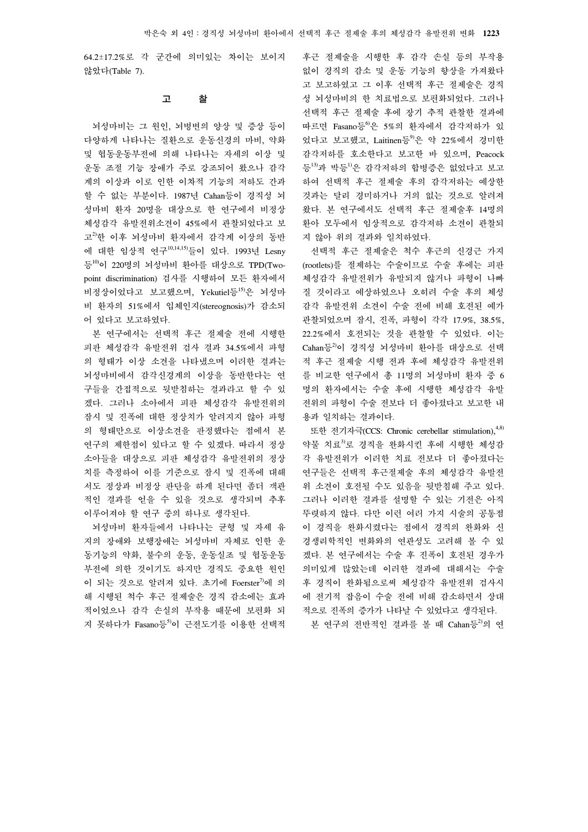64.2±17.2%로 각 군간에 의미있는 차이는 보이지 않았다(Table 7).

#### 고 찰

 뇌성마비는 그 원인, 뇌병변의 양상 및 증상 등이 다양하게 나타나는 질환으로 운동신경의 마비, 약화 및 협동운동부전에 의해 나타나는 자세의 이상 및 운동 조절 기능 장애가 주로 강조되어 왔으나 감각 계의 이상과 이로 인한 이차적 기능의 저하도 간과 할 수 없는 부분이다. 1987년 Cahan등이 경직성 뇌 성마비 환자 20명을 대상으로 한 연구에서 비정상 체성감각 유발전위소견이 45%에서 관찰되었다고 보 고2)한 이후 뇌성마비 환자에서 감각계 이상의 동반 에 대한 임상적 연구10,14,15)들이 있다. 1993년 Lesny 등<sup>10)</sup>이 220명의 뇌성마비 환아를 대상으로 TPD(Twopoint discrimination) 검사를 시행하여 모든 환자에서 비정상이었다고 보고했으며, Yekutiel등15)은 뇌성마 비 환자의 51%에서 입체인지(stereognosis)가 감소되 어 있다고 보고하였다.

 본 연구에서는 선택적 후근 절제술 전에 시행한 피판 체성감각 유발전위 검사 결과 34.5%에서 파형 의 형태가 이상 소견을 나타냈으며 이러한 결과는 뇌성마비에서 감각신경계의 이상을 동반한다는 연 구들을 간접적으로 뒷받침하는 결과라고 할 수 있 겠다. 그러나 소아에서 피판 체성감각 유발전위의 잠시 및 진폭에 대한 정상치가 알려지지 않아 파형 의 형태만으로 이상소견을 판정했다는 점에서 본 연구의 제한점이 있다고 할 수 있겠다. 따라서 정상 소아들을 대상으로 피판 체성감각 유발전위의 정상 치를 측정하여 이를 기준으로 잠시 및 진폭에 대해 서도 정상과 비정상 판단을 하게 된다면 좀더 객관 적인 결과를 얻을 수 있을 것으로 생각되며 추후 이루어져야 할 연구 중의 하나로 생각된다.

 뇌성마비 환자들에서 나타나는 균형 및 자세 유 지의 장애와 보행장애는 뇌성마비 자체로 인한 운 동기능의 약화, 불수의 운동, 운동실조 및 협동운동 부전에 의한 것이기도 하지만 경직도 중요한 원인 이 되는 것으로 알려져 있다. 초기에 Foerster<sup>7)</sup>에 의 해 시행된 척수 후근 절제술은 경직 감소에는 효과 적이었으나 감각 손실의 부작용 때문에 보편화 되 지 못하다가 Fasano등5)이 근전도기를 이용한 선택적

후근 절제술을 시행한 후 감각 손실 등의 부작용 없이 경직의 감소 및 운동 기능의 향상을 가져왔다 고 보고하였고 그 이후 선택적 후근 절제술은 경직 성 뇌성마비의 한 치료법으로 보편화되었다. 그러나 선택적 후근 절제술 후에 장기 추적 관찰한 결과에 따르면 Fasano등 0 5%의 환자에서 감각저하가 있 었다고 보고했고, Laitinen등<sup>9)</sup>은 약 22%에서 경미한 감각저하를 호소한다고 보고한 바 있으며, Peacock 등13)과 박등1)은 감각저하의 합병증은 없었다고 보고 하여 선택적 후근 절제술 후의 감각저하는 예상한 것과는 달리 경미하거나 거의 없는 것으로 알려져 왔다. 본 연구에서도 선택적 후근 절제술후 14명의 환아 모두에서 임상적으로 감각저하 소견이 관찰되 지 않아 위의 결과와 일치하였다.

 선택적 후근 절제술은 척수 후근의 신경근 가지 (rootlets)를 절제하는 수술이므로 수술 후에는 피판 체성감각 유발전위가 유발되지 않거나 파형이 나빠 질 것이라고 예상하였으나 오히려 수술 후의 체성 감각 유발전위 소견이 수술 전에 비해 호전된 예가 관찰되었으며 잠시, 진폭, 파형이 각각 17.9%, 38.5%, 22.2%에서 호전되는 것을 관찰할 수 있었다. 이는 Cahan등2)이 경직성 뇌성마비 환아를 대상으로 선택 적 후근 절제술 시행 전과 후에 체성감각 유발전위 를 비교한 연구에서 총 11명의 뇌성마비 환자 중 6 명의 환자에서는 수술 후에 시행한 체성감각 유발 전위의 파형이 수술 전보다 더 좋아졌다고 보고한 내 용과 일치하는 결과이다.

또한 전기자극(CCS: Chronic cerebellar stimulation),  $4,8$ 약물 치료3)로 경직을 완화시킨 후에 시행한 체성감 각 유발전위가 이러한 치료 전보다 더 좋아졌다는 연구들은 선택적 후근절제술 후의 체성감각 유발전 위 소견이 호전될 수도 있음을 뒷받침해 주고 있다. 그러나 이러한 결과를 설명할 수 있는 기전은 아직 뚜렷하지 않다. 다만 이런 여러 가지 시술의 공통점 이 경직을 완화시켰다는 점에서 경직의 완화와 신 경생리학적인 변화와의 연관성도 고려해 볼 수 있 겠다. 본 연구에서는 수술 후 진폭이 호전된 경우가 의미있게 많았는데 이러한 결과에 대해서는 수술 후 경직이 완화됨으로써 체성감각 유발전위 검사시 에 전기적 잡음이 수술 전에 비해 감소하면서 상대 적으로 진폭의 증가가 나타날 수 있었다고 생각된다.

본 연구의 전반적인 결과를 볼 때 Cahan등<sup>2)</sup>의 연